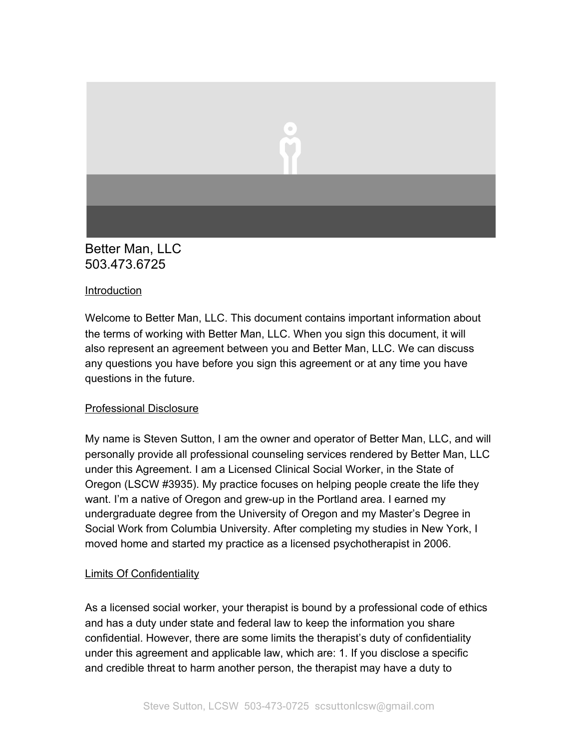

# Better Man, LLC 503.473.6725

#### Introduction

Welcome to Better Man, LLC. This document contains important information about the terms of working with Better Man, LLC. When you sign this document, it will also represent an agreement between you and Better Man, LLC. We can discuss any questions you have before you sign this agreement or at any time you have questions in the future.

#### Professional Disclosure

My name is Steven Sutton, I am the owner and operator of Better Man, LLC, and will personally provide all professional counseling services rendered by Better Man, LLC under this Agreement. I am a Licensed Clinical Social Worker, in the State of Oregon (LSCW #3935). My practice focuses on helping people create the life they want. I'm a native of Oregon and grew-up in the Portland area. I earned my undergraduate degree from the University of Oregon and my Master's Degree in Social Work from Columbia University. After completing my studies in New York, I moved home and started my practice as a licensed psychotherapist in 2006.

#### Limits Of Confidentiality

As a licensed social worker, your therapist is bound by a professional code of ethics and has a duty under state and federal law to keep the information you share confidential. However, there are some limits the therapist's duty of confidentiality under this agreement and applicable law, which are: 1. If you disclose a specific and credible threat to harm another person, the therapist may have a duty to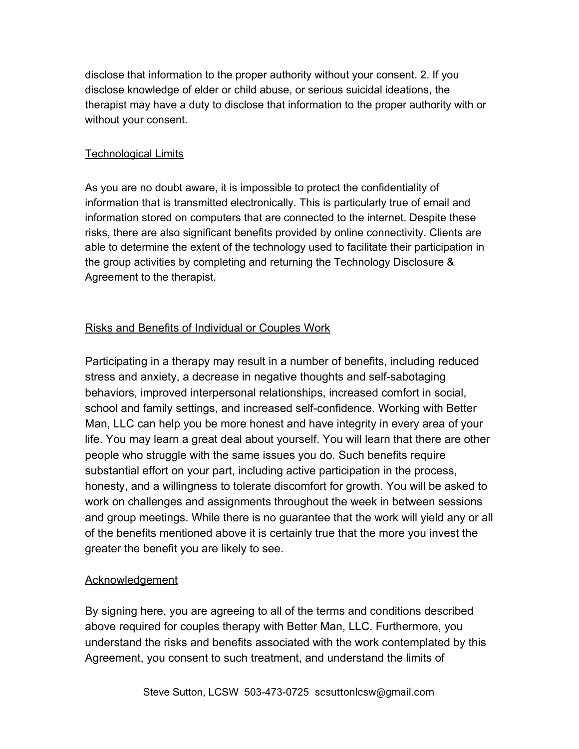disclose that information to the proper authority without your consent. 2. If you disclose knowledge of elder or child abuse, or serious suicidal ideations, the therapist may have a duty to disclose that information to the proper authority with or without your consent.

## Technological Limits

As you are no doubt aware, it is impossible to protect the confidentiality of information that is transmitted electronically. This is particularly true of email and information stored on computers that are connected to the internet. Despite these risks, there are also significant benefits provided by online connectivity. Clients are able to determine the extent of the technology used to facilitate their participation in the group activities by completing and returning the Technology Disclosure & Agreement to the therapist.

## Risks and Benefits of Individual or Couples Work

Participating in a therapy may result in a number of benefits, including reduced stress and anxiety, a decrease in negative thoughts and self-sabotaging behaviors, improved interpersonal relationships, increased comfort in social, school and family settings, and increased self-confidence. Working with Better Man, LLC can help you be more honest and have integrity in every area of your life. You may learn a great deal about yourself. You will learn that there are other people who struggle with the same issues you do. Such benefits require substantial effort on your part, including active participation in the process, honesty, and a willingness to tolerate discomfort for growth. You will be asked to work on challenges and assignments throughout the week in between sessions and group meetings. While there is no guarantee that the work will yield any or all of the benefits mentioned above it is certainly true that the more you invest the greater the benefit you are likely to see.

#### Acknowledgement

By signing here, you are agreeing to all of the terms and conditions described above required for couples therapy with Better Man, LLC. Furthermore, you understand the risks and benefits associated with the work contemplated by this Agreement, you consent to such treatment, and understand the limits of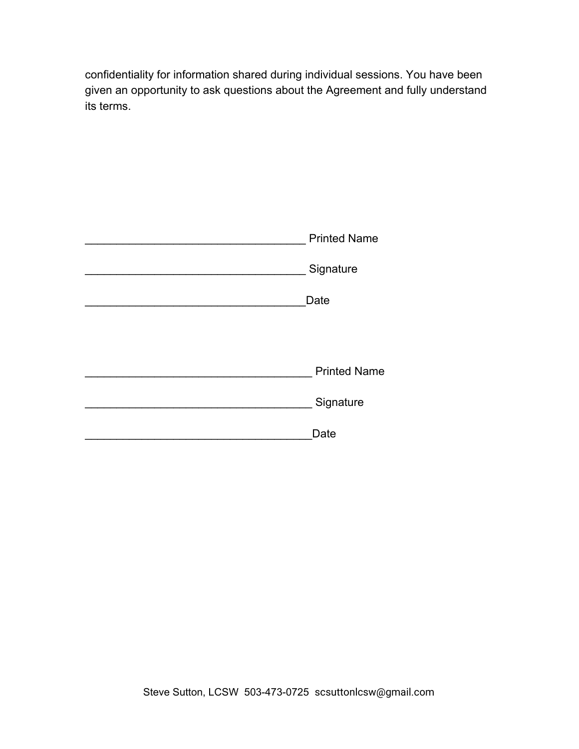confidentiality for information shared during individual sessions. You have been given an opportunity to ask questions about the Agreement and fully understand its terms.

| <b>Printed Name</b> |
|---------------------|
| Signature           |
| Date                |
|                     |
| <b>Printed Name</b> |
| Signature           |
| Date                |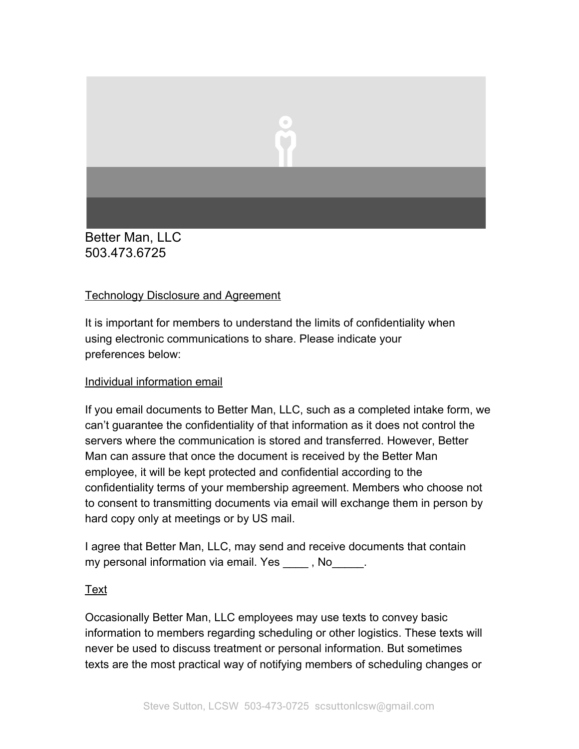

Better Man, LLC 503.473.6725

## Technology Disclosure and Agreement

It is important for members to understand the limits of confidentiality when using electronic communications to share. Please indicate your preferences below:

### Individual information email

If you email documents to Better Man, LLC, such as a completed intake form, we can't guarantee the confidentiality of that information as it does not control the servers where the communication is stored and transferred. However, Better Man can assure that once the document is received by the Better Man employee, it will be kept protected and confidential according to the confidentiality terms of your membership agreement. Members who choose not to consent to transmitting documents via email will exchange them in person by hard copy only at meetings or by US mail.

I agree that Better Man, LLC, may send and receive documents that contain my personal information via email. Yes , No.

## Text

Occasionally Better Man, LLC employees may use texts to convey basic information to members regarding scheduling or other logistics. These texts will never be used to discuss treatment or personal information. But sometimes texts are the most practical way of notifying members of scheduling changes or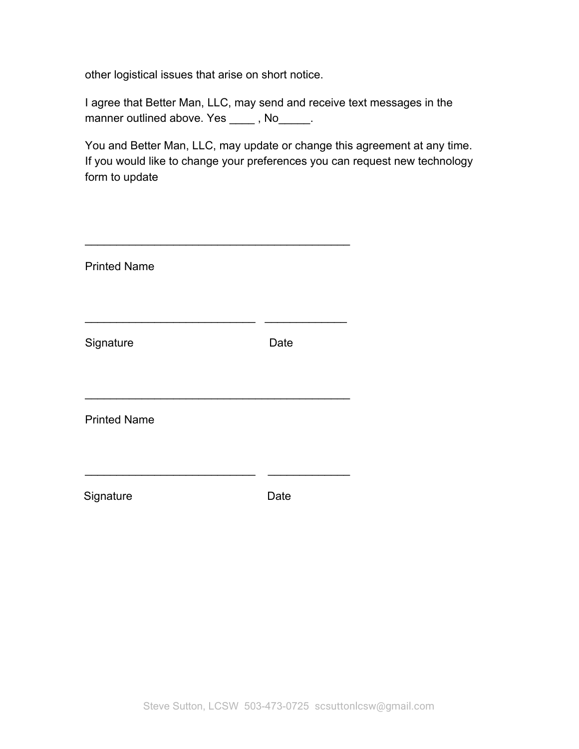other logistical issues that arise on short notice.

I agree that Better Man, LLC, may send and receive text messages in the manner outlined above. Yes \_\_\_\_\_, No\_\_\_\_\_\_.

You and Better Man, LLC, may update or change this agreement at any time. If you would like to change your preferences you can request new technology form to update

| <b>Printed Name</b> |      |
|---------------------|------|
|                     |      |
| Signature           | Date |
|                     |      |
| <b>Printed Name</b> |      |
|                     |      |
| Signature           | Date |